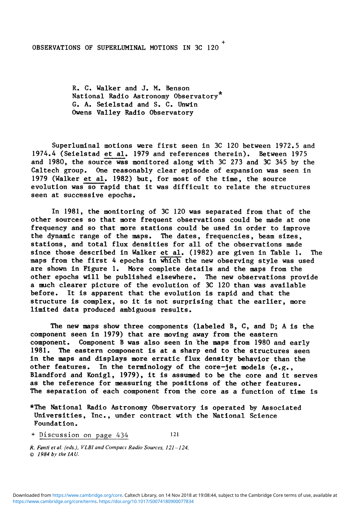## OBSERVATIONS OF SUPERLUMINAL MOTIONS IN 3C 120

**R. C. Walker and J. M. Benson National Radio Astronomy Observatory G. A. Seielstad and S. C. Unwin Owens Valley Radio Observatory** 

**Superluminal motions were first seen in 3C 120 between 1972.5 and 1974.4 (Seielstad et al, 1979 and references therein). Between 1975 and 1980, the source was monitored along with 3C 273 and 3C 345 by the Caltech group. One reasonably clear episode of expansion was seen in 1979 (Walker et al, 1982) but, for most of the time, the source evolution was so rapid that it was difficult to relate the structures seen at successive epochs.** 

**In 1981, the monitoring of 3C 120 was separated from that of the other sources so that more frequent observations could be made at one frequency and so that more stations could be used in order to improve the dynamic range of the maps. The dates, frequencies, beam sizes, stations, and total flux densities for all of the observations made since those described in Walker et al, (1982) are given in Table 1. The maps from the first 4 epochs in which the new observing style was used are shown in Figure 1, More complete details and the maps from the other epochs will be published elsewhere. The new observations provide a much clearer picture of the evolution of 3C 120 than was available before. It is apparent that the evolution is rapid and that the structure is complex, so it is not surprising that the earlier, more limited data produced ambiguous results.** 

**The new maps show three components (labeled B, C, and D; A is the component seen in 1979) that are moving away from the eastern component. Component B was also seen in the maps from 1980 and early 1981. The eastern component is at a sharp end to the structures seen in the maps and displays more erratic flux density behavior than the other features. In the terminology of the core-jet models (e.g., Blandford and Konigl, 1979), it is assumed to be the core and it serves as the reference for measuring the positions of the other features. The separation of each component from the core as a function of time is** 

**\*The National Radio Astronomy Observatory is operated by Associated Universities, Inc., under contract with the National Science Foundation.** 

+ Discussion on page **43 4 12 1** 

*R. Fanti et al. feds.), VLBI and Compact Radio Sources, 121-124. © 1984 by the IAU.*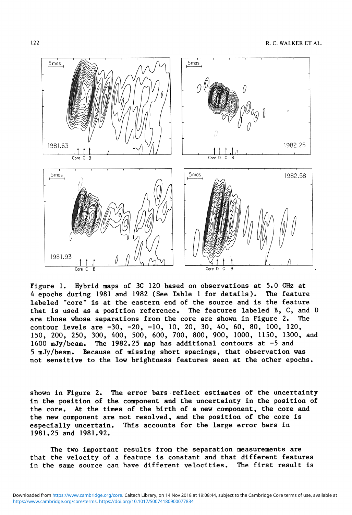

**Figure 1, Hybrid maps of 3C 120 based on observations at 5.0 GHz at 4 epochs during 1981 and 1982 (See Table 1 for details). The feature labeled "core" is at the eastern end of the source and is the feature that is used as a position reference. The features labeled B, C, and D are those whose separations from the core are shown in Figure 2. The contour levels are -30, -20, -10, 10, 20, 30, 40, 60, 80, 100, 120, 150, 200, 250, 300, 400, 500, 600, 700, 800, 900, 1000, 1150, 1300, and 1600 mJy/beam. The 1982.25 map has additional contours at -5 and 5 mJy/beam. Because of missing short spacings, that observation was not sensitive to the low brightness features seen at the other epochs.** 

**shown in Figure 2. The error bars reflect estimates of the uncertainty in the position of the component and the uncertainty in the position of the core. At the times of the birth of a new component, the core and the new component are not resolved, and the position of the core is especially uncertain. This accounts for the large error bars in 1981.25 and 1981.92.** 

**The two important results from the separation measurements are that the velocity of a feature is constant and that different features in the same source can have different velocities. The first result is**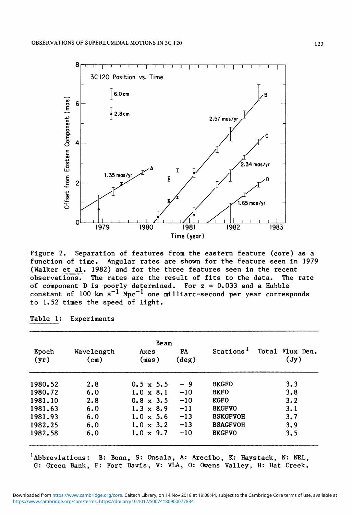

**Figure 2. Separation of features from the eastern feature (core) as a function of time. Angular rates are shown for the feature seen in 1979 (Walker et al. 1982) and for the three features seen in the recent**  observations. The rates are the result of fits to the data. **of component D is poorly determined. For z = 0.033 and a Hubble**  constant of 100 km s<sup>-1</sup> Mpc<sup>-1</sup> one milliarc-second per year corresponds **to 1.52 times the speed of light.** 

|               |                    | Beam             |                      |                       |                         |
|---------------|--------------------|------------------|----------------------|-----------------------|-------------------------|
| Epoch<br>(yr) | Wavelength<br>(cm) | Axes<br>(max)    | PA<br>$(\text{deg})$ | Stations <sup>1</sup> | Total Flux Den.<br>(Jy) |
| 1980.52       | 2.8                | $0.5 \times 5.5$ | - 9                  | <b>BKGFO</b>          | 3.3                     |
| 1980.72       | 6.0                | $1.0 \times 8.1$ | $-10$                | <b>BKFO</b>           | 3.8                     |
| 1981.10       | 2.8                | $0.8 \times 3.5$ | $-10$                | <b>KGFO</b>           | 3.2                     |
| 1981.63       | 6.0                | $1.3 \times 8.9$ | $-11$                | <b>BKGFVO</b>         | 3.1                     |
| 1981.93       | 6.0                | $1.0 \times 5.6$ | $-13$                | <b>BSKGFVOH</b>       | 3.7                     |
| 1982.25       | 6.0                | $1.0 \times 3.2$ | $-13$                | <b>BSAGFVOH</b>       | 3.9                     |
| 1982.58       | 6.0                | $1.0 \times 9.7$ | $-10$                | <b>BKGFVO</b>         | 3.5                     |

**Table 1: Experiments** 

**Abbreviations: B: Bonn, S: Onsala, A: Arecibo, K: Haystack, N: NRL, G: Green Bank, F: Fort Davis, V: VLA, 0: Owens Valley, H: Hat Creek.**